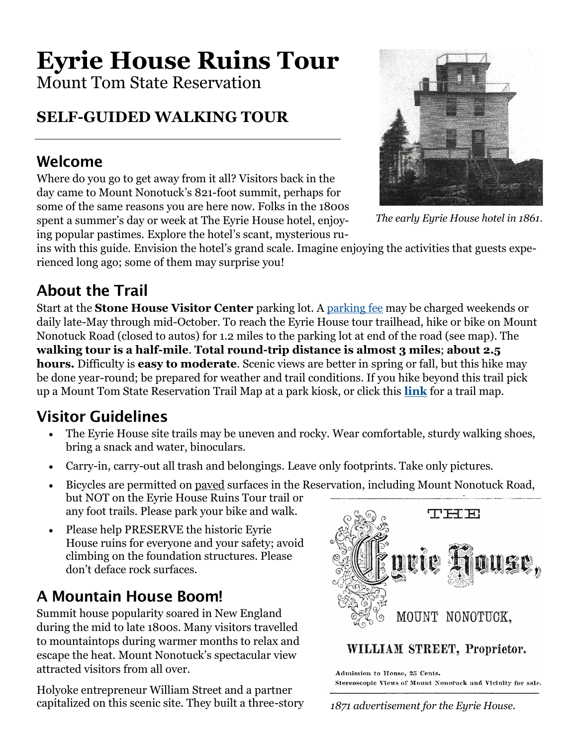# **Eyrie House Ruins Tour**

Mount Tom State Reservation

## **SELF-GUIDED WALKING TOUR**

#### Welcome

Where do you go to get away from it all? Visitors back in the day came to Mount Nonotuck's 821-foot summit, perhaps for some of the same reasons you are here now. Folks in the 1800s spent a summer's day or week at The Eyrie House hotel, enjoying popular pastimes. Explore the hotel's scant, mysterious ru-



*The early Eyrie House hotel in 1861.*

ins with this guide. Envision the hotel's grand scale. Imagine enjoying the activities that guests experienced long ago; some of them may surprise you!

#### About the Trail

Start at the **Stone House Visitor Center** parking lot. A [parking fee](https://www.mass.gov/guides/parking-at-massachusetts-state-parks) may be charged weekends or daily late-May through mid-October. To reach the Eyrie House tour trailhead, hike or bike on Mount Nonotuck Road (closed to autos) for 1.2 miles to the parking lot at end of the road (see map). The **walking tour is a half-mile**. **Total round-trip distance is almost 3 miles**; **about 2.5 hours.** Difficulty is **easy to moderate**. Scenic views are better in spring or fall, but this hike may be done year-round; be prepared for weather and trail conditions. If you hike beyond this trail pick up a Mount Tom State Reservation Trail Map at a park kiosk, or click this **[link](https://www.mass.gov/doc/mt-tom-state-reservation-trail-map/download)** for a trail map.

#### Visitor Guidelines

- The Eyrie House site trails may be uneven and rocky. Wear comfortable, sturdy walking shoes, bring a snack and water, binoculars.
- Carry-in, carry-out all trash and belongings. Leave only footprints. Take only pictures.
- Bicycles are permitted on paved surfaces in the Reservation, including Mount Nonotuck Road, but NOT on the Eyrie House Ruins Tour trail or any foot trails. Please park your bike and walk.
- Please help PRESERVE the historic Eyrie House ruins for everyone and your safety; avoid climbing on the foundation structures. Please don't deface rock surfaces.

### A Mountain House Boom!

Summit house popularity soared in New England during the mid to late 1800s. Many visitors travelled to mountaintops during warmer months to relax and escape the heat. Mount Nonotuck's spectacular view attracted visitors from all over.

Holyoke entrepreneur William Street and a partner capitalized on this scenic site. They built a three-story



#### WILLIAM STREET, Proprietor.

Admission to House, 25 Cents. Stereoscopic Views of Mount Nonotack and Vicinity for sale.

*1871 advertisement for the Eyrie House.*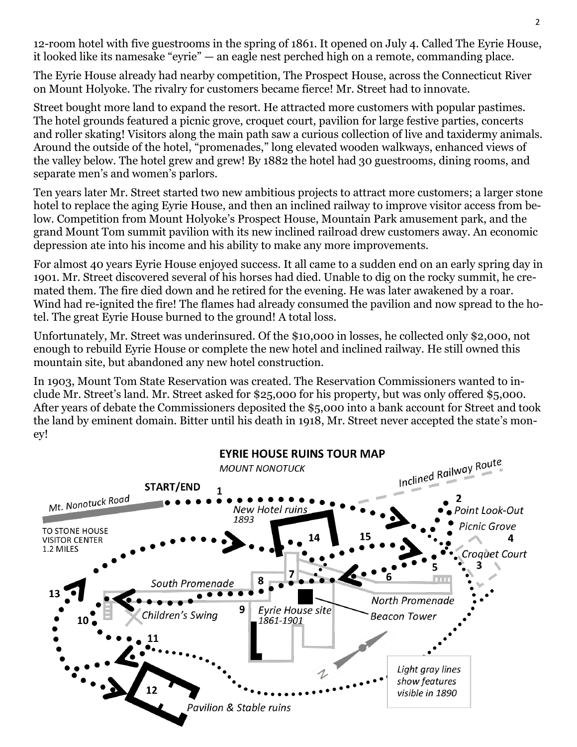12-room hotel with five guestrooms in the spring of 1861. It opened on July 4. Called The Eyrie House, it looked like its namesake "eyrie" — an eagle nest perched high on a remote, commanding place.

The Eyrie House already had nearby competition, The Prospect House, across the Connecticut River on Mount Holyoke. The rivalry for customers became fierce! Mr. Street had to innovate.

Street bought more land to expand the resort. He attracted more customers with popular pastimes. The hotel grounds featured a picnic grove, croquet court, pavilion for large festive parties, concerts and roller skating! Visitors along the main path saw a curious collection of live and taxidermy animals. Around the outside of the hotel, "promenades," long elevated wooden walkways, enhanced views of the valley below. The hotel grew and grew! By 1882 the hotel had 30 guestrooms, dining rooms, and separate men's and women's parlors.

Ten years later Mr. Street started two new ambitious projects to attract more customers; a larger stone hotel to replace the aging Eyrie House, and then an inclined railway to improve visitor access from below. Competition from Mount Holyoke's Prospect House, Mountain Park amusement park, and the grand Mount Tom summit pavilion with its new inclined railroad drew customers away. An economic depression ate into his income and his ability to make any more improvements.

For almost 40 years Eyrie House enjoyed success. It all came to a sudden end on an early spring day in 1901. Mr. Street discovered several of his horses had died. Unable to dig on the rocky summit, he cremated them. The fire died down and he retired for the evening. He was later awakened by a roar. Wind had re-ignited the fire! The flames had already consumed the pavilion and now spread to the hotel. The great Eyrie House burned to the ground! A total loss.

Unfortunately, Mr. Street was underinsured. Of the \$10,000 in losses, he collected only \$2,000, not enough to rebuild Eyrie House or complete the new hotel and inclined railway. He still owned this mountain site, but abandoned any new hotel construction.

In 1903, Mount Tom State Reservation was created. The Reservation Commissioners wanted to include Mr. Street's land. Mr. Street asked for \$25,000 for his property, but was only offered \$5,000. After years of debate the Commissioners deposited the \$5,000 into a bank account for Street and took the land by eminent domain. Bitter until his death in 1918, Mr. Street never accepted the state's money!

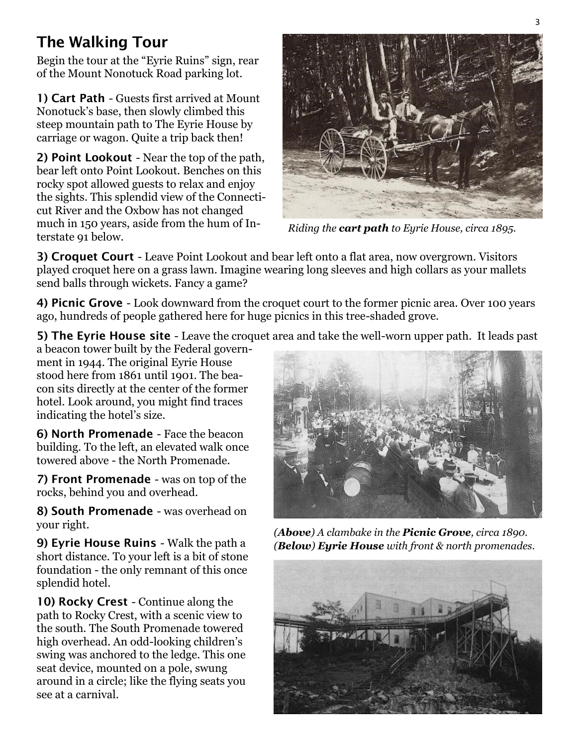#### The Walking Tour

Begin the tour at the "Eyrie Ruins" sign, rear of the Mount Nonotuck Road parking lot.

1) Cart Path - Guests first arrived at Mount Nonotuck's base, then slowly climbed this steep mountain path to The Eyrie House by carriage or wagon. Quite a trip back then!

2) Point Lookout - Near the top of the path, bear left onto Point Lookout. Benches on this rocky spot allowed guests to relax and enjoy the sights. This splendid view of the Connecticut River and the Oxbow has not changed much in 150 years, aside from the hum of Interstate 91 below.



*Riding the cart path to Eyrie House, circa 1895.*

3) Croquet Court - Leave Point Lookout and bear left onto a flat area, now overgrown. Visitors played croquet here on a grass lawn. Imagine wearing long sleeves and high collars as your mallets send balls through wickets. Fancy a game?

4) Picnic Grove - Look downward from the croquet court to the former picnic area. Over 100 years ago, hundreds of people gathered here for huge picnics in this tree-shaded grove.

5) The Eyrie House site - Leave the croquet area and take the well-worn upper path. It leads past

a beacon tower built by the Federal government in 1944. The original Eyrie House stood here from 1861 until 1901. The beacon sits directly at the center of the former hotel. Look around, you might find traces indicating the hotel's size.

6) North Promenade - Face the beacon building. To the left, an elevated walk once towered above - the North Promenade.

7) Front Promenade - was on top of the rocks, behind you and overhead.

8) South Promenade - was overhead on your right.

9) Eyrie House Ruins - Walk the path a short distance. To your left is a bit of stone foundation - the only remnant of this once splendid hotel.

10) Rocky Crest - Continue along the path to Rocky Crest, with a scenic view to the south. The South Promenade towered high overhead. An odd-looking children's swing was anchored to the ledge. This one seat device, mounted on a pole, swung around in a circle; like the flying seats you see at a carnival.



*(Above) A clambake in the Picnic Grove, circa 1890. (Below) Eyrie House with front & north promenades.*